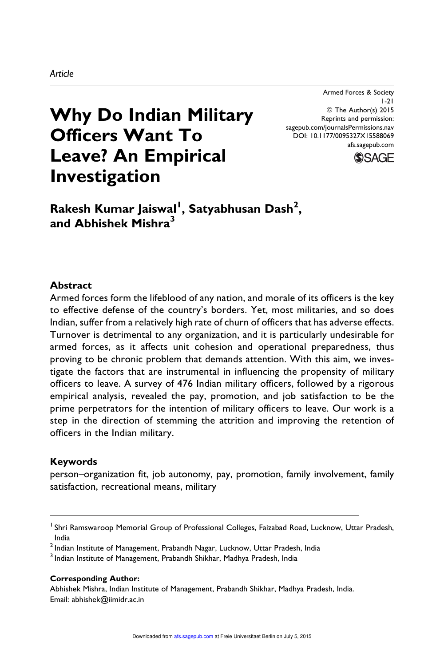Armed Forces & Society 1-21 © The Author(s) 2015 Reprints and permission: sagepub.com/journalsPermissions.nav DOI: 10.1177/0095327X15588069 afs.sagepub.com



# Why Do Indian Military Officers Want To Leave? An Empirical Investigation

Rakesh Kumar Jaiswal<sup>1</sup>, Satyabhusan Dash<sup>2</sup>, and Abhishek Mishra<sup>3</sup>

#### Abstract

Armed forces form the lifeblood of any nation, and morale of its officers is the key to effective defense of the country's borders. Yet, most militaries, and so does Indian, suffer from a relatively high rate of churn of officers that has adverse effects. Turnover is detrimental to any organization, and it is particularly undesirable for armed forces, as it affects unit cohesion and operational preparedness, thus proving to be chronic problem that demands attention. With this aim, we investigate the factors that are instrumental in influencing the propensity of military officers to leave. A survey of 476 Indian military officers, followed by a rigorous empirical analysis, revealed the pay, promotion, and job satisfaction to be the prime perpetrators for the intention of military officers to leave. Our work is a step in the direction of stemming the attrition and improving the retention of officers in the Indian military.

#### Keywords

person–organization fit, job autonomy, pay, promotion, family involvement, family satisfaction, recreational means, military

#### Corresponding Author:

Abhishek Mishra, Indian Institute of Management, Prabandh Shikhar, Madhya Pradesh, India. Email: abhishek@iimidr.ac.in

<sup>&</sup>lt;sup>1</sup> Shri Ramswaroop Memorial Group of Professional Colleges, Faizabad Road, Lucknow, Uttar Pradesh, India

 $^2$ Indian Institute of Management, Prabandh Nagar, Lucknow, Uttar Pradesh, India

<sup>&</sup>lt;sup>3</sup> Indian Institute of Management, Prabandh Shikhar, Madhya Pradesh, India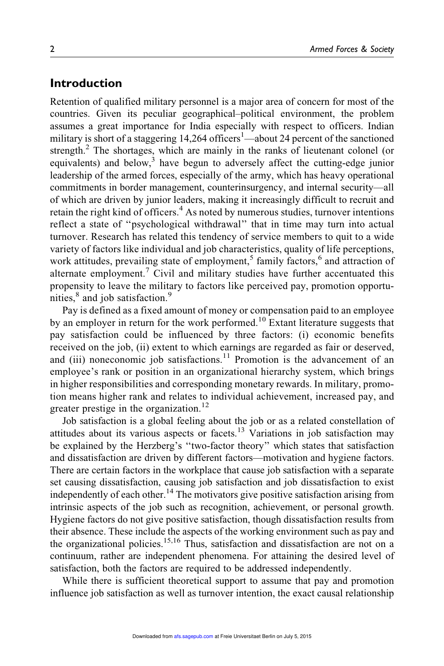## Introduction

Retention of qualified military personnel is a major area of concern for most of the countries. Given its peculiar geographical–political environment, the problem assumes a great importance for India especially with respect to officers. Indian military is short of a staggering  $14,264$  officers<sup>1</sup>—about 24 percent of the sanctioned strength.<sup>2</sup> The shortages, which are mainly in the ranks of lieutenant colonel (or equivalents) and below,<sup>3</sup> have begun to adversely affect the cutting-edge junior leadership of the armed forces, especially of the army, which has heavy operational commitments in border management, counterinsurgency, and internal security—all of which are driven by junior leaders, making it increasingly difficult to recruit and retain the right kind of officers.<sup>4</sup> As noted by numerous studies, turnover intentions reflect a state of ''psychological withdrawal'' that in time may turn into actual turnover. Research has related this tendency of service members to quit to a wide variety of factors like individual and job characteristics, quality of life perceptions, work attitudes, prevailing state of employment,<sup>5</sup> family factors,<sup>6</sup> and attraction of alternate employment.<sup>7</sup> Civil and military studies have further accentuated this propensity to leave the military to factors like perceived pay, promotion opportunities, $<sup>8</sup>$  and job satisfaction.<sup>9</sup></sup>

Pay is defined as a fixed amount of money or compensation paid to an employee by an employer in return for the work performed.<sup>10</sup> Extant literature suggests that pay satisfaction could be influenced by three factors: (i) economic benefits received on the job, (ii) extent to which earnings are regarded as fair or deserved, and (iii) noneconomic job satisfactions.<sup>11</sup> Promotion is the advancement of an employee's rank or position in an organizational hierarchy system, which brings in higher responsibilities and corresponding monetary rewards. In military, promotion means higher rank and relates to individual achievement, increased pay, and greater prestige in the organization.<sup>12</sup>

Job satisfaction is a global feeling about the job or as a related constellation of attitudes about its various aspects or facets.<sup>13</sup> Variations in job satisfaction may be explained by the Herzberg's ''two-factor theory'' which states that satisfaction and dissatisfaction are driven by different factors—motivation and hygiene factors. There are certain factors in the workplace that cause job satisfaction with a separate set causing dissatisfaction, causing job satisfaction and job dissatisfaction to exist independently of each other.<sup>14</sup> The motivators give positive satisfaction arising from intrinsic aspects of the job such as recognition, achievement, or personal growth. Hygiene factors do not give positive satisfaction, though dissatisfaction results from their absence. These include the aspects of the working environment such as pay and the organizational policies.<sup>15,16</sup> Thus, satisfaction and dissatisfaction are not on a continuum, rather are independent phenomena. For attaining the desired level of satisfaction, both the factors are required to be addressed independently.

While there is sufficient theoretical support to assume that pay and promotion influence job satisfaction as well as turnover intention, the exact causal relationship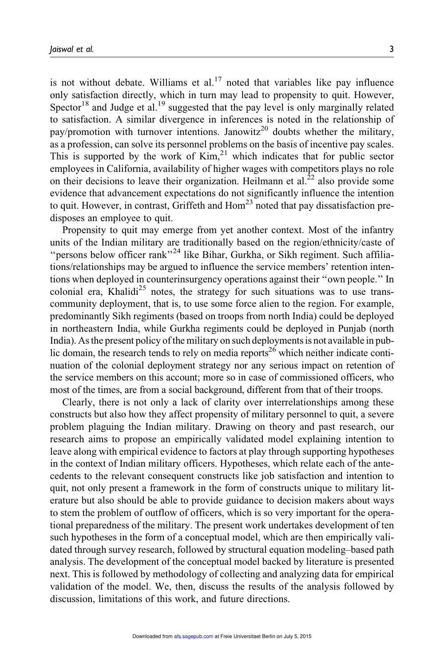is not without debate. Williams et  $al.17$  noted that variables like pay influence only satisfaction directly, which in turn may lead to propensity to quit. However, Spector<sup>18</sup> and Judge et al.<sup>19</sup> suggested that the pay level is only marginally related to satisfaction. A similar divergence in inferences is noted in the relationship of pay/promotion with turnover intentions. Janowitz<sup>20</sup> doubts whether the military, as a profession, can solve its personnel problems on the basis of incentive pay scales. This is supported by the work of  $Kim<sub>1</sub><sup>21</sup>$  which indicates that for public sector employees in California, availability of higher wages with competitors plays no role on their decisions to leave their organization. Heilmann et al.<sup>22</sup> also provide some evidence that advancement expectations do not significantly influence the intention to quit. However, in contrast, Griffeth and  $Hom<sup>23</sup>$  noted that pay dissatisfaction predisposes an employee to quit.

Propensity to quit may emerge from yet another context. Most of the infantry units of the Indian military are traditionally based on the region/ethnicity/caste of "persons below officer rank"<sup>24</sup> like Bihar, Gurkha, or Sikh regiment. Such affiliations/relationships may be argued to influence the service members' retention intentions when deployed in counterinsurgency operations against their ''own people.'' In colonial era, Khalidi<sup>25</sup> notes, the strategy for such situations was to use transcommunity deployment, that is, to use some force alien to the region. For example, predominantly Sikh regiments (based on troops from north India) could be deployed in northeastern India, while Gurkha regiments could be deployed in Punjab (north India). As the present policy of the military on such deployments is not available in public domain, the research tends to rely on media reports<sup>26</sup> which neither indicate continuation of the colonial deployment strategy nor any serious impact on retention of the service members on this account; more so in case of commissioned officers, who most of the times, are from a social background, different from that of their troops.

Clearly, there is not only a lack of clarity over interrelationships among these constructs but also how they affect propensity of military personnel to quit, a severe problem plaguing the Indian military. Drawing on theory and past research, our research aims to propose an empirically validated model explaining intention to leave along with empirical evidence to factors at play through supporting hypotheses in the context of Indian military officers. Hypotheses, which relate each of the antecedents to the relevant consequent constructs like job satisfaction and intention to quit, not only present a framework in the form of constructs unique to military literature but also should be able to provide guidance to decision makers about ways to stem the problem of outflow of officers, which is so very important for the operational preparedness of the military. The present work undertakes development of ten such hypotheses in the form of a conceptual model, which are then empirically validated through survey research, followed by structural equation modeling–based path analysis. The development of the conceptual model backed by literature is presented next. This is followed by methodology of collecting and analyzing data for empirical validation of the model. We, then, discuss the results of the analysis followed by discussion, limitations of this work, and future directions.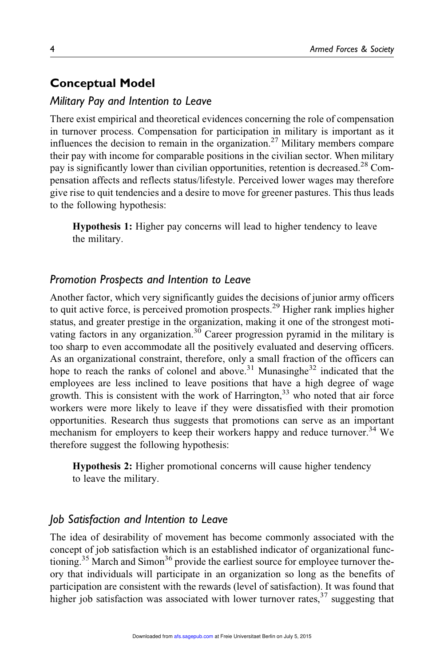# Conceptual Model

#### *Military Pay and Intention to Leave*

There exist empirical and theoretical evidences concerning the role of compensation in turnover process. Compensation for participation in military is important as it influences the decision to remain in the organization.<sup>27</sup> Military members compare their pay with income for comparable positions in the civilian sector. When military pay is significantly lower than civilian opportunities, retention is decreased.<sup>28</sup> Compensation affects and reflects status/lifestyle. Perceived lower wages may therefore give rise to quit tendencies and a desire to move for greener pastures. This thus leads to the following hypothesis:

Hypothesis 1: Higher pay concerns will lead to higher tendency to leave the military.

#### *Promotion Prospects and Intention to Leave*

Another factor, which very significantly guides the decisions of junior army officers to quit active force, is perceived promotion prospects.<sup>29</sup> Higher rank implies higher status, and greater prestige in the organization, making it one of the strongest motivating factors in any organization.<sup>30</sup> Career progression pyramid in the military is too sharp to even accommodate all the positively evaluated and deserving officers. As an organizational constraint, therefore, only a small fraction of the officers can hope to reach the ranks of colonel and above.<sup>31</sup> Munasinghe<sup>32</sup> indicated that the employees are less inclined to leave positions that have a high degree of wage growth. This is consistent with the work of Harrington, $33$  who noted that air force workers were more likely to leave if they were dissatisfied with their promotion opportunities. Research thus suggests that promotions can serve as an important mechanism for employers to keep their workers happy and reduce turnover.<sup>34</sup> We therefore suggest the following hypothesis:

Hypothesis 2: Higher promotional concerns will cause higher tendency to leave the military.

#### *Job Satisfaction and Intention to Leave*

The idea of desirability of movement has become commonly associated with the concept of job satisfaction which is an established indicator of organizational functioning.<sup>35</sup> March and Simon<sup>36</sup> provide the earliest source for employee turnover theory that individuals will participate in an organization so long as the benefits of participation are consistent with the rewards (level of satisfaction). It was found that higher job satisfaction was associated with lower turnover rates,  $37$  suggesting that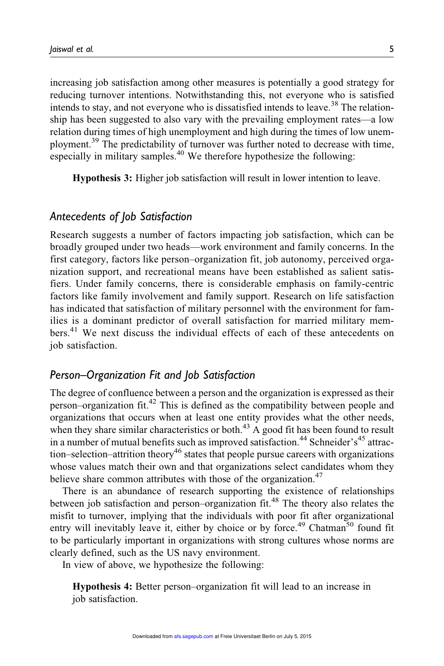increasing job satisfaction among other measures is potentially a good strategy for reducing turnover intentions. Notwithstanding this, not everyone who is satisfied intends to stay, and not everyone who is dissatisfied intends to leave.<sup>38</sup> The relationship has been suggested to also vary with the prevailing employment rates—a low relation during times of high unemployment and high during the times of low unemployment.<sup>39</sup> The predictability of turnover was further noted to decrease with time, especially in military samples.<sup>40</sup> We therefore hypothesize the following:

Hypothesis 3: Higher job satisfaction will result in lower intention to leave.

## *Antecedents of Job Satisfaction*

Research suggests a number of factors impacting job satisfaction, which can be broadly grouped under two heads—work environment and family concerns. In the first category, factors like person–organization fit, job autonomy, perceived organization support, and recreational means have been established as salient satisfiers. Under family concerns, there is considerable emphasis on family-centric factors like family involvement and family support. Research on life satisfaction has indicated that satisfaction of military personnel with the environment for families is a dominant predictor of overall satisfaction for married military members.<sup>41</sup> We next discuss the individual effects of each of these antecedents on job satisfaction.

#### *Person–Organization Fit and Job Satisfaction*

The degree of confluence between a person and the organization is expressed as their person–organization fit.<sup>42</sup> This is defined as the compatibility between people and organizations that occurs when at least one entity provides what the other needs, when they share similar characteristics or both. $43$  A good fit has been found to result in a number of mutual benefits such as improved satisfaction.<sup>44</sup> Schneider's<sup>45</sup> attraction–selection–attrition theory<sup>46</sup> states that people pursue careers with organizations whose values match their own and that organizations select candidates whom they believe share common attributes with those of the organization.<sup>47</sup>

There is an abundance of research supporting the existence of relationships between job satisfaction and person–organization fit.<sup>48</sup> The theory also relates the misfit to turnover, implying that the individuals with poor fit after organizational entry will inevitably leave it, either by choice or by force.<sup>49</sup> Chatman<sup>50</sup> found fit to be particularly important in organizations with strong cultures whose norms are clearly defined, such as the US navy environment.

In view of above, we hypothesize the following:

Hypothesis 4: Better person–organization fit will lead to an increase in job satisfaction.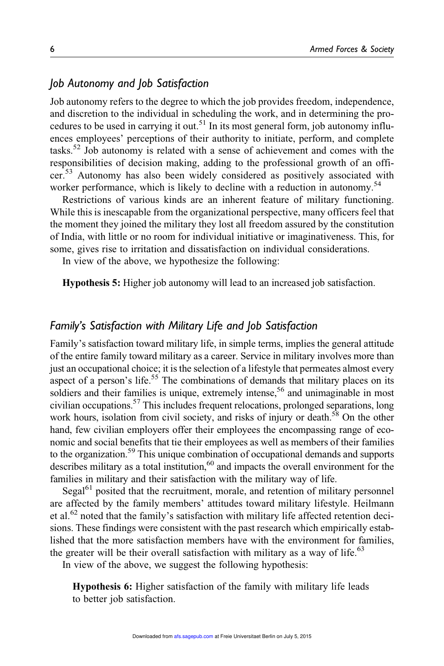# *Job Autonomy and Job Satisfaction*

Job autonomy refers to the degree to which the job provides freedom, independence, and discretion to the individual in scheduling the work, and in determining the procedures to be used in carrying it out.<sup>51</sup> In its most general form, job autonomy influences employees' perceptions of their authority to initiate, perform, and complete tasks.<sup>52</sup> Job autonomy is related with a sense of achievement and comes with the responsibilities of decision making, adding to the professional growth of an officer.<sup>53</sup> Autonomy has also been widely considered as positively associated with worker performance, which is likely to decline with a reduction in autonomy.<sup>54</sup>

Restrictions of various kinds are an inherent feature of military functioning. While this is inescapable from the organizational perspective, many officers feel that the moment they joined the military they lost all freedom assured by the constitution of India, with little or no room for individual initiative or imaginativeness. This, for some, gives rise to irritation and dissatisfaction on individual considerations.

In view of the above, we hypothesize the following:

Hypothesis 5: Higher job autonomy will lead to an increased job satisfaction.

## *Family's Satisfaction with Military Life and Job Satisfaction*

Family's satisfaction toward military life, in simple terms, implies the general attitude of the entire family toward military as a career. Service in military involves more than just an occupational choice; it is the selection of a lifestyle that permeates almost every aspect of a person's life.<sup>55</sup> The combinations of demands that military places on its soldiers and their families is unique, extremely intense,<sup>56</sup> and unimaginable in most civilian occupations.<sup>57</sup> This includes frequent relocations, prolonged separations, long work hours, isolation from civil society, and risks of injury or death.<sup>58</sup> On the other hand, few civilian employers offer their employees the encompassing range of economic and social benefits that tie their employees as well as members of their families to the organization.<sup>59</sup> This unique combination of occupational demands and supports describes military as a total institution, $60$  and impacts the overall environment for the families in military and their satisfaction with the military way of life.

Segal $^{61}$  posited that the recruitment, morale, and retention of military personnel are affected by the family members' attitudes toward military lifestyle. Heilmann et al.<sup>62</sup> noted that the family's satisfaction with military life affected retention decisions. These findings were consistent with the past research which empirically established that the more satisfaction members have with the environment for families, the greater will be their overall satisfaction with military as a way of life.<sup>63</sup>

In view of the above, we suggest the following hypothesis:

Hypothesis 6: Higher satisfaction of the family with military life leads to better job satisfaction.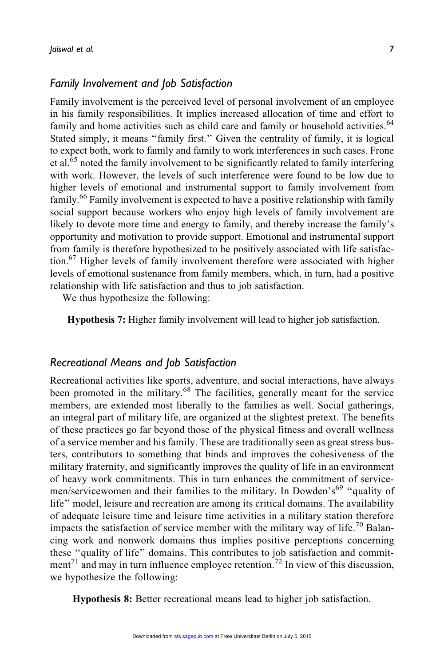### *Family Involvement and Job Satisfaction*

Family involvement is the perceived level of personal involvement of an employee in his family responsibilities. It implies increased allocation of time and effort to family and home activities such as child care and family or household activities.<sup>64</sup> Stated simply, it means ''family first.'' Given the centrality of family, it is logical to expect both, work to family and family to work interferences in such cases. Frone et al.<sup>65</sup> noted the family involvement to be significantly related to family interfering with work. However, the levels of such interference were found to be low due to higher levels of emotional and instrumental support to family involvement from family.<sup>66</sup> Family involvement is expected to have a positive relationship with family social support because workers who enjoy high levels of family involvement are likely to devote more time and energy to family, and thereby increase the family's opportunity and motivation to provide support. Emotional and instrumental support from family is therefore hypothesized to be positively associated with life satisfaction.<sup>67</sup> Higher levels of family involvement therefore were associated with higher levels of emotional sustenance from family members, which, in turn, had a positive relationship with life satisfaction and thus to job satisfaction.

We thus hypothesize the following:

Hypothesis 7: Higher family involvement will lead to higher job satisfaction.

#### *Recreational Means and Job Satisfaction*

Recreational activities like sports, adventure, and social interactions, have always been promoted in the military.<sup>68</sup> The facilities, generally meant for the service members, are extended most liberally to the families as well. Social gatherings, an integral part of military life, are organized at the slightest pretext. The benefits of these practices go far beyond those of the physical fitness and overall wellness of a service member and his family. These are traditionally seen as great stress busters, contributors to something that binds and improves the cohesiveness of the military fraternity, and significantly improves the quality of life in an environment of heavy work commitments. This in turn enhances the commitment of servicemen/servicewomen and their families to the military. In Dowden's<sup>69</sup> "quality of life'' model, leisure and recreation are among its critical domains. The availability of adequate leisure time and leisure time activities in a military station therefore impacts the satisfaction of service member with the military way of life.<sup>70</sup> Balancing work and nonwork domains thus implies positive perceptions concerning these ''quality of life'' domains. This contributes to job satisfaction and commitment<sup>71</sup> and may in turn influence employee retention.<sup>72</sup> In view of this discussion, we hypothesize the following:

Hypothesis 8: Better recreational means lead to higher job satisfaction.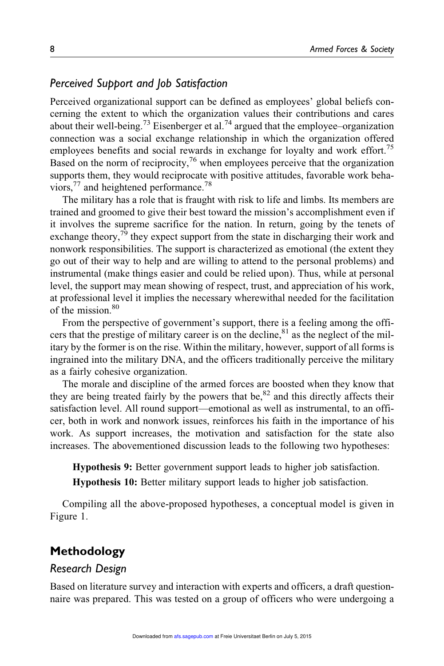# *Perceived Support and Job Satisfaction*

Perceived organizational support can be defined as employees' global beliefs concerning the extent to which the organization values their contributions and cares about their well-being.<sup>73</sup> Eisenberger et al.<sup>74</sup> argued that the employee–organization connection was a social exchange relationship in which the organization offered employees benefits and social rewards in exchange for loyalty and work effort.<sup>75</sup> Based on the norm of reciprocity,<sup>76</sup> when employees perceive that the organization supports them, they would reciprocate with positive attitudes, favorable work behaviors,  $^{77}$  and heightened performance.<sup>78</sup>

The military has a role that is fraught with risk to life and limbs. Its members are trained and groomed to give their best toward the mission's accomplishment even if it involves the supreme sacrifice for the nation. In return, going by the tenets of exchange theory, $\overline{79}$  they expect support from the state in discharging their work and nonwork responsibilities. The support is characterized as emotional (the extent they go out of their way to help and are willing to attend to the personal problems) and instrumental (make things easier and could be relied upon). Thus, while at personal level, the support may mean showing of respect, trust, and appreciation of his work, at professional level it implies the necessary wherewithal needed for the facilitation of the mission.<sup>80</sup>

From the perspective of government's support, there is a feeling among the officers that the prestige of military career is on the decline, $81$  as the neglect of the military by the former is on the rise. Within the military, however, support of all forms is ingrained into the military DNA, and the officers traditionally perceive the military as a fairly cohesive organization.

The morale and discipline of the armed forces are boosted when they know that they are being treated fairly by the powers that be, $82$  and this directly affects their satisfaction level. All round support—emotional as well as instrumental, to an officer, both in work and nonwork issues, reinforces his faith in the importance of his work. As support increases, the motivation and satisfaction for the state also increases. The abovementioned discussion leads to the following two hypotheses:

Hypothesis 9: Better government support leads to higher job satisfaction.

Hypothesis 10: Better military support leads to higher job satisfaction.

Compiling all the above-proposed hypotheses, a conceptual model is given in Figure 1.

## Methodology

#### *Research Design*

Based on literature survey and interaction with experts and officers, a draft questionnaire was prepared. This was tested on a group of officers who were undergoing a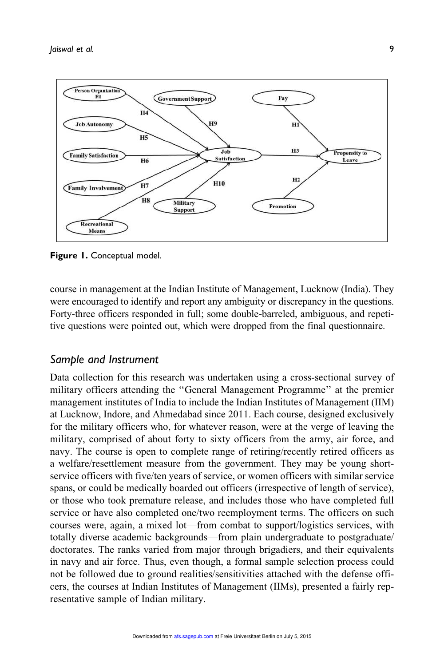

Figure 1. Conceptual model.

course in management at the Indian Institute of Management, Lucknow (India). They were encouraged to identify and report any ambiguity or discrepancy in the questions. Forty-three officers responded in full; some double-barreled, ambiguous, and repetitive questions were pointed out, which were dropped from the final questionnaire.

#### *Sample and Instrument*

Data collection for this research was undertaken using a cross-sectional survey of military officers attending the ''General Management Programme'' at the premier management institutes of India to include the Indian Institutes of Management (IIM) at Lucknow, Indore, and Ahmedabad since 2011. Each course, designed exclusively for the military officers who, for whatever reason, were at the verge of leaving the military, comprised of about forty to sixty officers from the army, air force, and navy. The course is open to complete range of retiring/recently retired officers as a welfare/resettlement measure from the government. They may be young shortservice officers with five/ten years of service, or women officers with similar service spans, or could be medically boarded out officers (irrespective of length of service), or those who took premature release, and includes those who have completed full service or have also completed one/two reemployment terms. The officers on such courses were, again, a mixed lot—from combat to support/logistics services, with totally diverse academic backgrounds—from plain undergraduate to postgraduate/ doctorates. The ranks varied from major through brigadiers, and their equivalents in navy and air force. Thus, even though, a formal sample selection process could not be followed due to ground realities/sensitivities attached with the defense officers, the courses at Indian Institutes of Management (IIMs), presented a fairly representative sample of Indian military.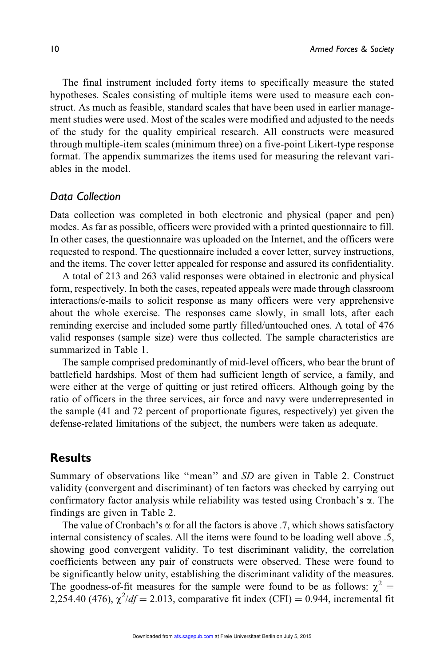The final instrument included forty items to specifically measure the stated hypotheses. Scales consisting of multiple items were used to measure each construct. As much as feasible, standard scales that have been used in earlier management studies were used. Most of the scales were modified and adjusted to the needs of the study for the quality empirical research. All constructs were measured through multiple-item scales (minimum three) on a five-point Likert-type response format. The appendix summarizes the items used for measuring the relevant variables in the model.

#### *Data Collection*

Data collection was completed in both electronic and physical (paper and pen) modes. As far as possible, officers were provided with a printed questionnaire to fill. In other cases, the questionnaire was uploaded on the Internet, and the officers were requested to respond. The questionnaire included a cover letter, survey instructions, and the items. The cover letter appealed for response and assured its confidentiality.

A total of 213 and 263 valid responses were obtained in electronic and physical form, respectively. In both the cases, repeated appeals were made through classroom interactions/e-mails to solicit response as many officers were very apprehensive about the whole exercise. The responses came slowly, in small lots, after each reminding exercise and included some partly filled/untouched ones. A total of 476 valid responses (sample size) were thus collected. The sample characteristics are summarized in Table 1.

The sample comprised predominantly of mid-level officers, who bear the brunt of battlefield hardships. Most of them had sufficient length of service, a family, and were either at the verge of quitting or just retired officers. Although going by the ratio of officers in the three services, air force and navy were underrepresented in the sample (41 and 72 percent of proportionate figures, respectively) yet given the defense-related limitations of the subject, the numbers were taken as adequate.

## **Results**

Summary of observations like ''mean'' and SD are given in Table 2. Construct validity (convergent and discriminant) of ten factors was checked by carrying out confirmatory factor analysis while reliability was tested using Cronbach's  $\alpha$ . The findings are given in Table 2.

The value of Cronbach's  $\alpha$  for all the factors is above .7, which shows satisfactory internal consistency of scales. All the items were found to be loading well above .5, showing good convergent validity. To test discriminant validity, the correlation coefficients between any pair of constructs were observed. These were found to be significantly below unity, establishing the discriminant validity of the measures. The goodness-of-fit measures for the sample were found to be as follows:  $\chi^2$  = 2,254.40 (476),  $\chi^2/df = 2.013$ , comparative fit index (CFI) = 0.944, incremental fit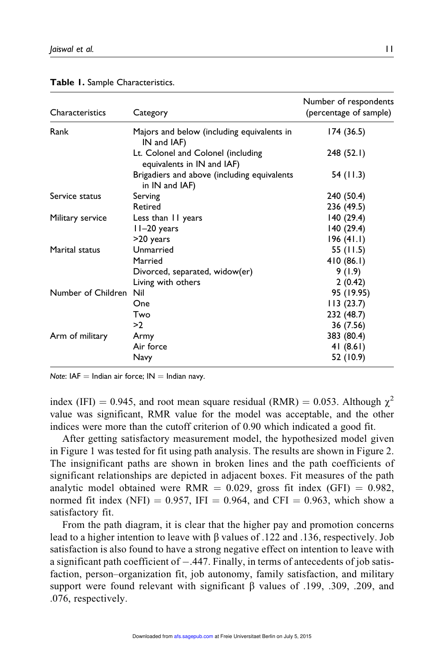| Characteristics    | Category                                                         | Number of respondents<br>(percentage of sample) |
|--------------------|------------------------------------------------------------------|-------------------------------------------------|
| Rank               | Majors and below (including equivalents in<br>IN and IAF)        | 174(36.5)                                       |
|                    | Lt. Colonel and Colonel (including<br>equivalents in IN and IAF) | 248 (52.1)                                      |
|                    | Brigadiers and above (including equivalents<br>in IN and IAF)    | 54 (11.3)                                       |
| Service status     | Serving                                                          | 240 (50.4)                                      |
|                    | Retired                                                          | 236 (49.5)                                      |
| Military service   | Less than II years                                               | 140 (29.4)                                      |
|                    | $11-20$ years                                                    | 140(29.4)                                       |
|                    | >20 years                                                        | 196(41.1)                                       |
| Marital status     | Unmarried                                                        | 55 (11.5)                                       |
|                    | Married                                                          | 410 (86.1)                                      |
|                    | Divorced, separated, widow(er)                                   | 9(1.9)                                          |
|                    | Living with others                                               | 2(0.42)                                         |
| Number of Children | Nil                                                              | 95 (19.95)                                      |
|                    | One                                                              | 113(23.7)                                       |
|                    | Two                                                              | 232 (48.7)                                      |
|                    | >2                                                               | 36 (7.56)                                       |
| Arm of military    | Army                                                             | 383 (80.4)                                      |
|                    | Air force                                                        | 41 (8.61)                                       |
|                    | Navy                                                             | 52 (10.9)                                       |

#### Table 1. Sample Characteristics.

*Note*:  $IAF = Indian air force; IN = Indian navy.$ 

index (IFI) = 0.945, and root mean square residual (RMR) = 0.053. Although  $\chi^2$ value was significant, RMR value for the model was acceptable, and the other indices were more than the cutoff criterion of 0.90 which indicated a good fit.

After getting satisfactory measurement model, the hypothesized model given in Figure 1 was tested for fit using path analysis. The results are shown in Figure 2. The insignificant paths are shown in broken lines and the path coefficients of significant relationships are depicted in adjacent boxes. Fit measures of the path analytic model obtained were RMR =  $0.029$ , gross fit index (GFI) = 0.982, normed fit index (NFI) = 0.957, IFI = 0.964, and CFI = 0.963, which show a satisfactory fit.

From the path diagram, it is clear that the higher pay and promotion concerns lead to a higher intention to leave with  $\beta$  values of .122 and .136, respectively. Job satisfaction is also found to have a strong negative effect on intention to leave with a significant path coefficient of -.447. Finally, in terms of antecedents of job satisfaction, person–organization fit, job autonomy, family satisfaction, and military support were found relevant with significant  $\beta$  values of .199, .309, .209, and .076, respectively.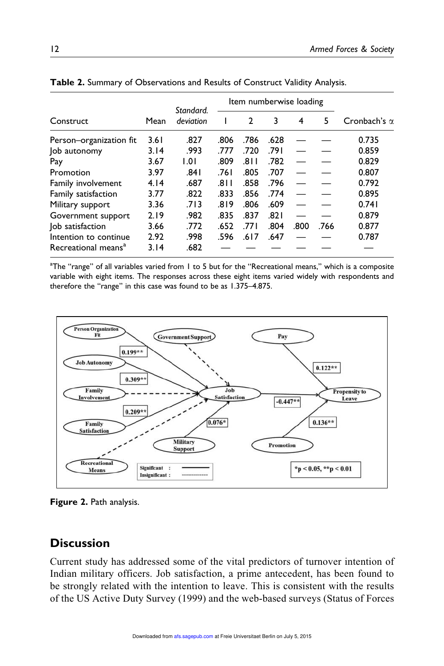|                                 |      | Standard.<br>deviation | Item numberwise loading |              |      |      |      |                     |
|---------------------------------|------|------------------------|-------------------------|--------------|------|------|------|---------------------|
| Construct                       | Mean |                        |                         | $\mathbf{c}$ | 3    | 4    | 5    | Cronbach's $\alpha$ |
| Person-organization fit         | 3.61 | .827                   | .806                    | .786         | .628 |      |      | 0.735               |
| Job autonomy                    | 3.14 | .993                   | .777                    | .720         | .791 |      |      | 0.859               |
| Pay                             | 3.67 | 1.01                   | .809                    | .811         | .782 |      |      | 0.829               |
| Promotion                       | 3.97 | .841                   | .761                    | .805         | .707 |      |      | 0.807               |
| Family involvement              | 4.14 | .687                   | .811                    | .858         | .796 |      |      | 0.792               |
| Family satisfaction             | 3.77 | .822                   | .833                    | .856         | .774 |      |      | 0.895               |
| Military support                | 3.36 | .713                   | .819                    | .806         | .609 |      |      | 0.741               |
| Government support              | 2.19 | .982                   | .835                    | .837         | .821 |      |      | 0.879               |
| lob satisfaction                | 3.66 | .772                   | .652                    | .771         | .804 | .800 | .766 | 0.877               |
| Intention to continue           | 2.92 | .998                   | .596                    | .617         | .647 |      |      | 0.787               |
| Recreational means <sup>a</sup> | 3.14 | .682                   |                         |              |      |      |      |                     |

Table 2. Summary of Observations and Results of Construct Validity Analysis.

<sup>a</sup>The "range" of all variables varied from 1 to 5 but for the "Recreational means," which is a composite variable with eight items. The responses across these eight items varied widely with respondents and therefore the ''range'' in this case was found to be as 1.375–4.875.



Figure 2. Path analysis.

## **Discussion**

Current study has addressed some of the vital predictors of turnover intention of Indian military officers. Job satisfaction, a prime antecedent, has been found to be strongly related with the intention to leave. This is consistent with the results of the US Active Duty Survey (1999) and the web-based surveys (Status of Forces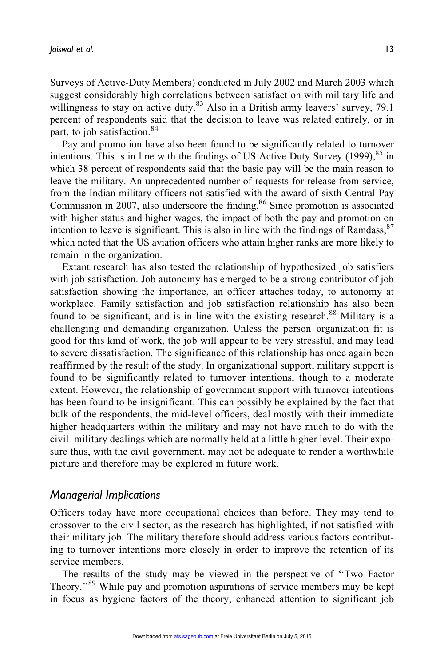Surveys of Active-Duty Members) conducted in July 2002 and March 2003 which suggest considerably high correlations between satisfaction with military life and willingness to stay on active duty.<sup>83</sup> Also in a British army leavers' survey, 79.1 percent of respondents said that the decision to leave was related entirely, or in part, to job satisfaction.<sup>84</sup>

Pay and promotion have also been found to be significantly related to turnover intentions. This is in line with the findings of US Active Duty Survey  $(1999)$ ,  $85$  in which 38 percent of respondents said that the basic pay will be the main reason to leave the military. An unprecedented number of requests for release from service, from the Indian military officers not satisfied with the award of sixth Central Pay Commission in 2007, also underscore the finding.<sup>86</sup> Since promotion is associated with higher status and higher wages, the impact of both the pay and promotion on intention to leave is significant. This is also in line with the findings of Ramdass,  $8<sup>7</sup>$ which noted that the US aviation officers who attain higher ranks are more likely to remain in the organization.

Extant research has also tested the relationship of hypothesized job satisfiers with job satisfaction. Job autonomy has emerged to be a strong contributor of job satisfaction showing the importance, an officer attaches today, to autonomy at workplace. Family satisfaction and job satisfaction relationship has also been found to be significant, and is in line with the existing research.<sup>88</sup> Military is a challenging and demanding organization. Unless the person–organization fit is good for this kind of work, the job will appear to be very stressful, and may lead to severe dissatisfaction. The significance of this relationship has once again been reaffirmed by the result of the study. In organizational support, military support is found to be significantly related to turnover intentions, though to a moderate extent. However, the relationship of government support with turnover intentions has been found to be insignificant. This can possibly be explained by the fact that bulk of the respondents, the mid-level officers, deal mostly with their immediate higher headquarters within the military and may not have much to do with the civil–military dealings which are normally held at a little higher level. Their exposure thus, with the civil government, may not be adequate to render a worthwhile picture and therefore may be explored in future work.

#### *Managerial Implications*

Officers today have more occupational choices than before. They may tend to crossover to the civil sector, as the research has highlighted, if not satisfied with their military job. The military therefore should address various factors contributing to turnover intentions more closely in order to improve the retention of its service members.

The results of the study may be viewed in the perspective of ''Two Factor Theory."<sup>89</sup> While pay and promotion aspirations of service members may be kept in focus as hygiene factors of the theory, enhanced attention to significant job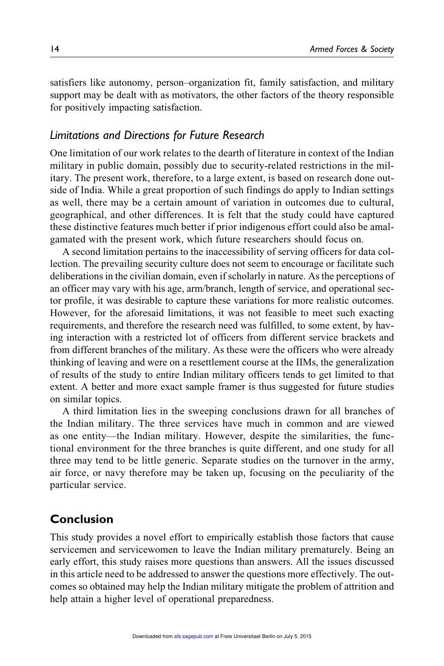satisfiers like autonomy, person–organization fit, family satisfaction, and military support may be dealt with as motivators, the other factors of the theory responsible for positively impacting satisfaction.

#### *Limitations and Directions for Future Research*

One limitation of our work relates to the dearth of literature in context of the Indian military in public domain, possibly due to security-related restrictions in the military. The present work, therefore, to a large extent, is based on research done outside of India. While a great proportion of such findings do apply to Indian settings as well, there may be a certain amount of variation in outcomes due to cultural, geographical, and other differences. It is felt that the study could have captured these distinctive features much better if prior indigenous effort could also be amalgamated with the present work, which future researchers should focus on.

A second limitation pertains to the inaccessibility of serving officers for data collection. The prevailing security culture does not seem to encourage or facilitate such deliberations in the civilian domain, even if scholarly in nature. As the perceptions of an officer may vary with his age, arm/branch, length of service, and operational sector profile, it was desirable to capture these variations for more realistic outcomes. However, for the aforesaid limitations, it was not feasible to meet such exacting requirements, and therefore the research need was fulfilled, to some extent, by having interaction with a restricted lot of officers from different service brackets and from different branches of the military. As these were the officers who were already thinking of leaving and were on a resettlement course at the IIMs, the generalization of results of the study to entire Indian military officers tends to get limited to that extent. A better and more exact sample framer is thus suggested for future studies on similar topics.

A third limitation lies in the sweeping conclusions drawn for all branches of the Indian military. The three services have much in common and are viewed as one entity—the Indian military. However, despite the similarities, the functional environment for the three branches is quite different, and one study for all three may tend to be little generic. Separate studies on the turnover in the army, air force, or navy therefore may be taken up, focusing on the peculiarity of the particular service.

# Conclusion

This study provides a novel effort to empirically establish those factors that cause servicemen and servicewomen to leave the Indian military prematurely. Being an early effort, this study raises more questions than answers. All the issues discussed in this article need to be addressed to answer the questions more effectively. The outcomes so obtained may help the Indian military mitigate the problem of attrition and help attain a higher level of operational preparedness.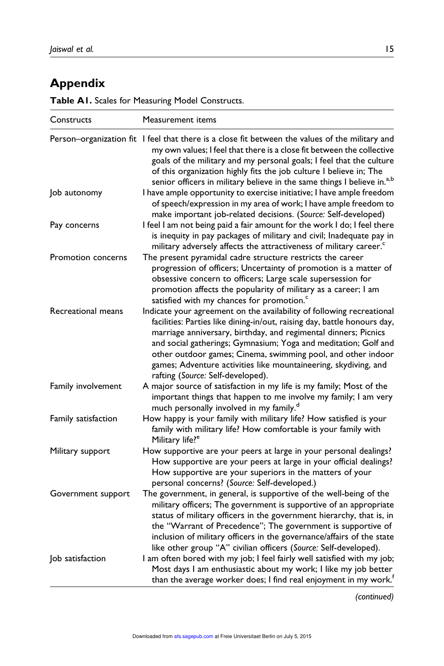# Appendix

Table A1. Scales for Measuring Model Constructs.

| Constructs                | Measurement items                                                                                                                                                                                                                                                                                                                                                                                                                                               |
|---------------------------|-----------------------------------------------------------------------------------------------------------------------------------------------------------------------------------------------------------------------------------------------------------------------------------------------------------------------------------------------------------------------------------------------------------------------------------------------------------------|
|                           | Person-organization fit I feel that there is a close fit between the values of the military and<br>my own values; I feel that there is a close fit between the collective<br>goals of the military and my personal goals; I feel that the culture<br>of this organization highly fits the job culture I believe in; The<br>senior officers in military believe in the same things I believe in. <sup>a,b</sup>                                                  |
| Job autonomy              | I have ample opportunity to exercise initiative; I have ample freedom<br>of speech/expression in my area of work; I have ample freedom to<br>make important job-related decisions. (Source: Self-developed)                                                                                                                                                                                                                                                     |
| Pay concerns              | I feel I am not being paid a fair amount for the work I do; I feel there<br>is inequity in pay packages of military and civil; Inadequate pay in<br>military adversely affects the attractiveness of military career. <sup>c</sup>                                                                                                                                                                                                                              |
| <b>Promotion concerns</b> | The present pyramidal cadre structure restricts the career<br>progression of officers; Uncertainty of promotion is a matter of<br>obsessive concern to officers; Large scale supersession for<br>promotion affects the popularity of military as a career; I am<br>satisfied with my chances for promotion. <sup>c</sup>                                                                                                                                        |
| Recreational means        | Indicate your agreement on the availability of following recreational<br>facilities: Parties like dining-in/out, raising day, battle honours day,<br>marriage anniversary, birthday, and regimental dinners; Picnics<br>and social gatherings; Gymnasium; Yoga and meditation; Golf and<br>other outdoor games; Cinema, swimming pool, and other indoor<br>games; Adventure activities like mountaineering, skydiving, and<br>rafting (Source: Self-developed). |
| Family involvement        | A major source of satisfaction in my life is my family; Most of the<br>important things that happen to me involve my family; I am very<br>much personally involved in my family. <sup>d</sup>                                                                                                                                                                                                                                                                   |
| Family satisfaction       | How happy is your family with military life? How satisfied is your<br>family with military life? How comfortable is your family with<br>Military life? <sup>e</sup>                                                                                                                                                                                                                                                                                             |
| Military support          | How supportive are your peers at large in your personal dealings?<br>How supportive are your peers at large in your official dealings?<br>How supportive are your superiors in the matters of your<br>personal concerns? (Source: Self-developed.)                                                                                                                                                                                                              |
| Government support        | The government, in general, is supportive of the well-being of the<br>military officers; The government is supportive of an appropriate<br>status of military officers in the government hierarchy, that is, in<br>the "Warrant of Precedence"; The government is supportive of<br>inclusion of military officers in the governance/affairs of the state<br>like other group "A" civilian officers (Source: Self-developed).                                    |
| Job satisfaction          | I am often bored with my job; I feel fairly well satisfied with my job;<br>Most days I am enthusiastic about my work; I like my job better<br>than the average worker does; I find real enjoyment in my work. <sup>f</sup>                                                                                                                                                                                                                                      |

*(continued)*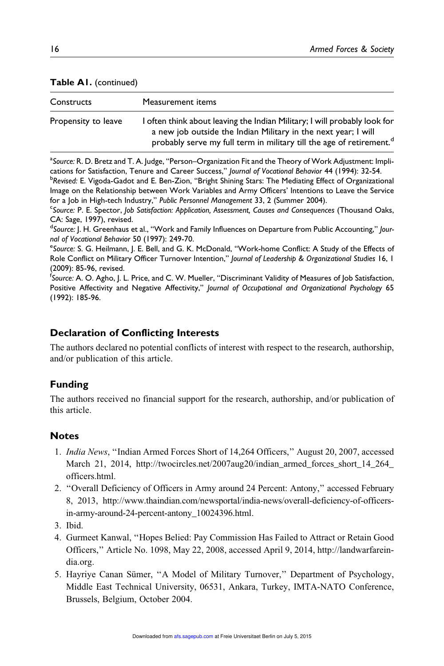| Constructs          | Measurement items                                                                                                                                                                                                               |
|---------------------|---------------------------------------------------------------------------------------------------------------------------------------------------------------------------------------------------------------------------------|
| Propensity to leave | I often think about leaving the Indian Military; I will probably look for<br>a new job outside the Indian Military in the next year; I will<br>probably serve my full term in military till the age of retirement. <sup>d</sup> |

#### Table A1. (continued)

<sup>a</sup>Source: R. D. Bretz and T. A. Judge, "Person–Organization Fit and the Theory of Work Adjustment: Implications for Satisfaction, Tenure and Career Success,'' *Journal of Vocational Behavior* 44 (1994): 32-54. b *Revised:* E. Vigoda-Gadot and E. Ben-Zion, ''Bright Shining Stars: The Mediating Effect of Organizational

Image on the Relationship between Work Variables and Army Officers' Intentions to Leave the Service for a Job in High-tech Industry,'' *Public Personnel Management* 33, 2 (Summer 2004).

c *Source:* P. E. Spector, *Job Satisfaction: Application, Assessment, Causes and Consequences* (Thousand Oaks, CA: Sage, 1997), revised.

d *Source:* J. H. Greenhaus et al., ''Work and Family Influences on Departure from Public Accounting,'' *Journal of Vocational Behavior* 50 (1997): 249-70.

e *Source:* S. G. Heilmann, J. E. Bell, and G. K. McDonald, ''Work-home Conflict: A Study of the Effects of Role Conflict on Military Officer Turnover Intention,'' *Journal of Leadership & Organizational Studies* 16, 1 (2009): 85-96, revised.

f *Source:* A. O. Agho, J. L. Price, and C. W. Mueller, ''Discriminant Validity of Measures of Job Satisfaction, Positive Affectivity and Negative Affectivity,'' *Journal of Occupational and Organizational Psychology* 65 (1992): 185-96.

#### Declaration of Conflicting Interests

The authors declared no potential conflicts of interest with respect to the research, authorship, and/or publication of this article.

#### Funding

The authors received no financial support for the research, authorship, and/or publication of this article.

#### **Notes**

- 1. India News, ''Indian Armed Forces Short of 14,264 Officers,'' August 20, 2007, accessed March 21, 2014, http://twocircles.net/2007aug20/indian\_armed\_forces\_short\_14\_264\_ officers.html.
- 2. ''Overall Deficiency of Officers in Army around 24 Percent: Antony,'' accessed February 8, 2013, http://www.thaindian.com/newsportal/india-news/overall-deficiency-of-officersin-army-around-24-percent-antony\_10024396.html.
- 3. Ibid.
- 4. Gurmeet Kanwal, ''Hopes Belied: Pay Commission Has Failed to Attract or Retain Good Officers,'' Article No. 1098, May 22, 2008, accessed April 9, 2014, http://landwarfareindia.org.
- 5. Hayriye Canan Sümer, "A Model of Military Turnover," Department of Psychology, Middle East Technical University, 06531, Ankara, Turkey, IMTA-NATO Conference, Brussels, Belgium, October 2004.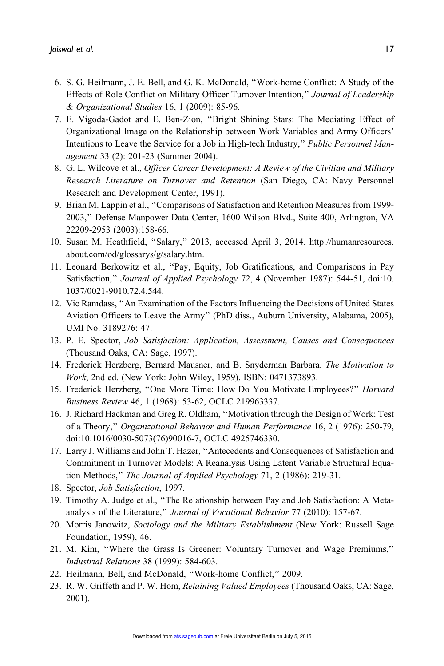- 6. S. G. Heilmann, J. E. Bell, and G. K. McDonald, ''Work-home Conflict: A Study of the Effects of Role Conflict on Military Officer Turnover Intention,'' Journal of Leadership & Organizational Studies 16, 1 (2009): 85-96.
- 7. E. Vigoda-Gadot and E. Ben-Zion, ''Bright Shining Stars: The Mediating Effect of Organizational Image on the Relationship between Work Variables and Army Officers' Intentions to Leave the Service for a Job in High-tech Industry,'' Public Personnel Management 33 (2): 201-23 (Summer 2004).
- 8. G. L. Wilcove et al., Officer Career Development: A Review of the Civilian and Military Research Literature on Turnover and Retention (San Diego, CA: Navy Personnel Research and Development Center, 1991).
- 9. Brian M. Lappin et al., ''Comparisons of Satisfaction and Retention Measures from 1999- 2003,'' Defense Manpower Data Center, 1600 Wilson Blvd., Suite 400, Arlington, VA 22209-2953 (2003):158-66.
- 10. Susan M. Heathfield, ''Salary,'' 2013, accessed April 3, 2014. http://humanresources. about.com/od/glossarys/g/salary.htm.
- 11. Leonard Berkowitz et al., ''Pay, Equity, Job Gratifications, and Comparisons in Pay Satisfaction,'' Journal of Applied Psychology 72, 4 (November 1987): 544-51, doi:10. 1037/0021-9010.72.4.544.
- 12. Vic Ramdass, ''An Examination of the Factors Influencing the Decisions of United States Aviation Officers to Leave the Army'' (PhD diss., Auburn University, Alabama, 2005), UMI No. 3189276: 47.
- 13. P. E. Spector, Job Satisfaction: Application, Assessment, Causes and Consequences (Thousand Oaks, CA: Sage, 1997).
- 14. Frederick Herzberg, Bernard Mausner, and B. Snyderman Barbara, The Motivation to Work, 2nd ed. (New York: John Wiley, 1959), ISBN: 0471373893.
- 15. Frederick Herzberg, ''One More Time: How Do You Motivate Employees?'' Harvard Business Review 46, 1 (1968): 53-62, OCLC 219963337.
- 16. J. Richard Hackman and Greg R. Oldham, ''Motivation through the Design of Work: Test of a Theory,'' Organizational Behavior and Human Performance 16, 2 (1976): 250-79, doi:10.1016/0030-5073(76)90016-7, OCLC 4925746330.
- 17. Larry J. Williams and John T. Hazer, ''Antecedents and Consequences of Satisfaction and Commitment in Turnover Models: A Reanalysis Using Latent Variable Structural Equation Methods,'' The Journal of Applied Psychology 71, 2 (1986): 219-31.
- 18. Spector, Job Satisfaction, 1997.
- 19. Timothy A. Judge et al., ''The Relationship between Pay and Job Satisfaction: A Metaanalysis of the Literature," Journal of Vocational Behavior 77 (2010): 157-67.
- 20. Morris Janowitz, Sociology and the Military Establishment (New York: Russell Sage Foundation, 1959), 46.
- 21. M. Kim, ''Where the Grass Is Greener: Voluntary Turnover and Wage Premiums,'' Industrial Relations 38 (1999): 584-603.
- 22. Heilmann, Bell, and McDonald, ''Work-home Conflict,'' 2009.
- 23. R. W. Griffeth and P. W. Hom, Retaining Valued Employees (Thousand Oaks, CA: Sage, 2001).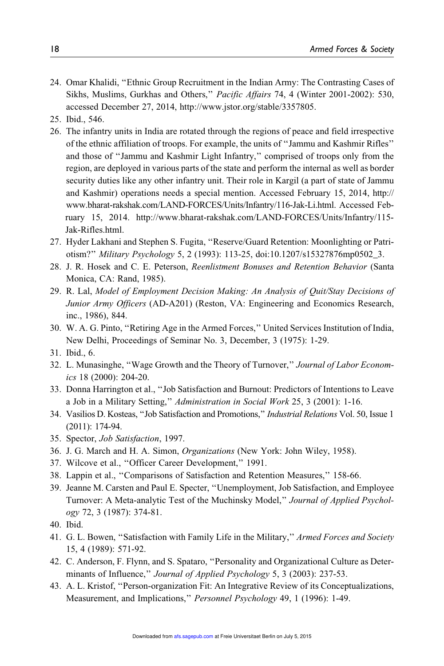- 24. Omar Khalidi, ''Ethnic Group Recruitment in the Indian Army: The Contrasting Cases of Sikhs, Muslims, Gurkhas and Others,'' Pacific Affairs 74, 4 (Winter 2001-2002): 530, accessed December 27, 2014, http://www.jstor.org/stable/3357805.
- 25. Ibid., 546.
- 26. The infantry units in India are rotated through the regions of peace and field irrespective of the ethnic affiliation of troops. For example, the units of ''Jammu and Kashmir Rifles'' and those of ''Jammu and Kashmir Light Infantry,'' comprised of troops only from the region, are deployed in various parts of the state and perform the internal as well as border security duties like any other infantry unit. Their role in Kargil (a part of state of Jammu and Kashmir) operations needs a special mention. Accessed February 15, 2014, http:// www.bharat-rakshak.com/LAND-FORCES/Units/Infantry/116-Jak-Li.html. Accessed February 15, 2014. http://www.bharat-rakshak.com/LAND-FORCES/Units/Infantry/115- Jak-Rifles.html.
- 27. Hyder Lakhani and Stephen S. Fugita, ''Reserve/Guard Retention: Moonlighting or Patriotism?'' Military Psychology 5, 2 (1993): 113-25, doi:10.1207/s15327876mp0502\_3.
- 28. J. R. Hosek and C. E. Peterson, Reenlistment Bonuses and Retention Behavior (Santa Monica, CA: Rand, 1985).
- 29. R. Lal, Model of Employment Decision Making: An Analysis of Quit/Stay Decisions of Junior Army Officers (AD-A201) (Reston, VA: Engineering and Economics Research, inc., 1986), 844.
- 30. W. A. G. Pinto, ''Retiring Age in the Armed Forces,'' United Services Institution of India, New Delhi, Proceedings of Seminar No. 3, December, 3 (1975): 1-29.
- 31. Ibid., 6.
- 32. L. Munasinghe, ''Wage Growth and the Theory of Turnover,'' Journal of Labor Economics 18 (2000): 204-20.
- 33. Donna Harrington et al., ''Job Satisfaction and Burnout: Predictors of Intentions to Leave a Job in a Military Setting,'' Administration in Social Work 25, 3 (2001): 1-16.
- 34. Vasilios D. Kosteas, ''Job Satisfaction and Promotions,'' Industrial Relations Vol. 50, Issue 1 (2011): 174-94.
- 35. Spector, Job Satisfaction, 1997.
- 36. J. G. March and H. A. Simon, Organizations (New York: John Wiley, 1958).
- 37. Wilcove et al., ''Officer Career Development,'' 1991.
- 38. Lappin et al., ''Comparisons of Satisfaction and Retention Measures,'' 158-66.
- 39. Jeanne M. Carsten and Paul E. Specter, ''Unemployment, Job Satisfaction, and Employee Turnover: A Meta-analytic Test of the Muchinsky Model," Journal of Applied Psychology 72, 3 (1987): 374-81.
- 40. Ibid.
- 41. G. L. Bowen, "Satisfaction with Family Life in the Military," Armed Forces and Society 15, 4 (1989): 571-92.
- 42. C. Anderson, F. Flynn, and S. Spataro, ''Personality and Organizational Culture as Determinants of Influence," Journal of Applied Psychology 5, 3 (2003): 237-53.
- 43. A. L. Kristof, ''Person-organization Fit: An Integrative Review of its Conceptualizations, Measurement, and Implications,'' Personnel Psychology 49, 1 (1996): 1-49.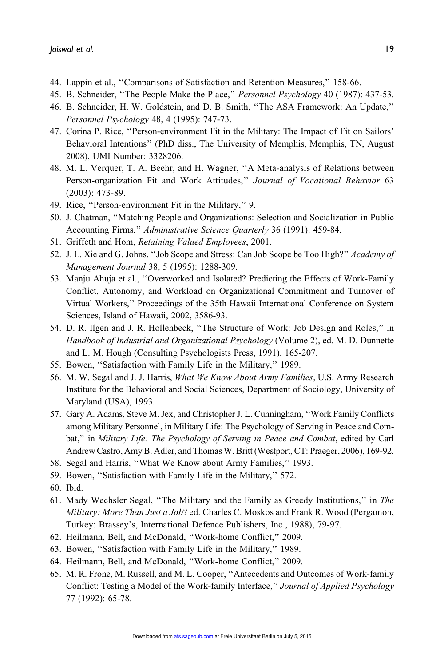- 44. Lappin et al., ''Comparisons of Satisfaction and Retention Measures,'' 158-66.
- 45. B. Schneider, "The People Make the Place," Personnel Psychology 40 (1987): 437-53.
- 46. B. Schneider, H. W. Goldstein, and D. B. Smith, ''The ASA Framework: An Update,'' Personnel Psychology 48, 4 (1995): 747-73.
- 47. Corina P. Rice, ''Person-environment Fit in the Military: The Impact of Fit on Sailors' Behavioral Intentions'' (PhD diss., The University of Memphis, Memphis, TN, August 2008), UMI Number: 3328206.
- 48. M. L. Verquer, T. A. Beehr, and H. Wagner, ''A Meta-analysis of Relations between Person-organization Fit and Work Attitudes,'' Journal of Vocational Behavior 63 (2003): 473-89.
- 49. Rice, ''Person-environment Fit in the Military,'' 9.
- 50. J. Chatman, ''Matching People and Organizations: Selection and Socialization in Public Accounting Firms," Administrative Science Quarterly 36 (1991): 459-84.
- 51. Griffeth and Hom, Retaining Valued Employees, 2001.
- 52. J. L. Xie and G. Johns, ''Job Scope and Stress: Can Job Scope be Too High?'' Academy of Management Journal 38, 5 (1995): 1288-309.
- 53. Manju Ahuja et al., ''Overworked and Isolated? Predicting the Effects of Work-Family Conflict, Autonomy, and Workload on Organizational Commitment and Turnover of Virtual Workers,'' Proceedings of the 35th Hawaii International Conference on System Sciences, Island of Hawaii, 2002, 3586-93.
- 54. D. R. Ilgen and J. R. Hollenbeck, ''The Structure of Work: Job Design and Roles,'' in Handbook of Industrial and Organizational Psychology (Volume 2), ed. M. D. Dunnette and L. M. Hough (Consulting Psychologists Press, 1991), 165-207.
- 55. Bowen, ''Satisfaction with Family Life in the Military,'' 1989.
- 56. M. W. Segal and J. J. Harris, What We Know About Army Families, U.S. Army Research Institute for the Behavioral and Social Sciences, Department of Sociology, University of Maryland (USA), 1993.
- 57. Gary A. Adams, Steve M. Jex, and Christopher J. L. Cunningham, ''Work Family Conflicts among Military Personnel, in Military Life: The Psychology of Serving in Peace and Combat," in Military Life: The Psychology of Serving in Peace and Combat, edited by Carl Andrew Castro, Amy B. Adler, and Thomas W. Britt (Westport, CT: Praeger, 2006), 169-92.
- 58. Segal and Harris, ''What We Know about Army Families,'' 1993.
- 59. Bowen, ''Satisfaction with Family Life in the Military,'' 572.
- 60. Ibid.
- 61. Mady Wechsler Segal, ''The Military and the Family as Greedy Institutions,'' in The Military: More Than Just a Job? ed. Charles C. Moskos and Frank R. Wood (Pergamon, Turkey: Brassey's, International Defence Publishers, Inc., 1988), 79-97.
- 62. Heilmann, Bell, and McDonald, ''Work-home Conflict,'' 2009.
- 63. Bowen, ''Satisfaction with Family Life in the Military,'' 1989.
- 64. Heilmann, Bell, and McDonald, ''Work-home Conflict,'' 2009.
- 65. M. R. Frone, M. Russell, and M. L. Cooper, ''Antecedents and Outcomes of Work-family Conflict: Testing a Model of the Work-family Interface,'' Journal of Applied Psychology 77 (1992): 65-78.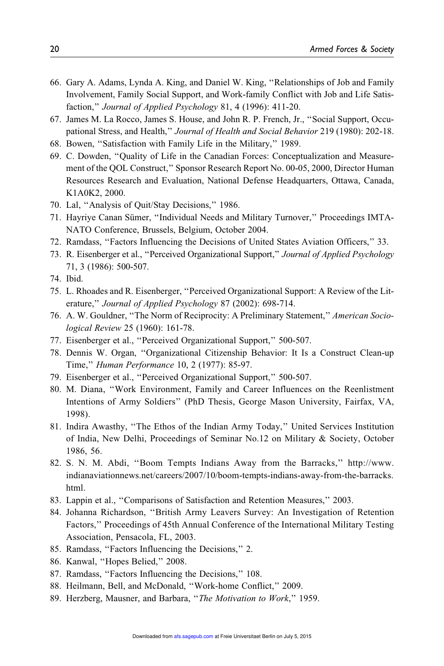- 66. Gary A. Adams, Lynda A. King, and Daniel W. King, ''Relationships of Job and Family Involvement, Family Social Support, and Work-family Conflict with Job and Life Satisfaction," Journal of Applied Psychology 81, 4 (1996): 411-20.
- 67. James M. La Rocco, James S. House, and John R. P. French, Jr., ''Social Support, Occupational Stress, and Health,'' Journal of Health and Social Behavior 219 (1980): 202-18.
- 68. Bowen, ''Satisfaction with Family Life in the Military,'' 1989.
- 69. C. Dowden, ''Quality of Life in the Canadian Forces: Conceptualization and Measurement of the QOL Construct,'' Sponsor Research Report No. 00-05, 2000, Director Human Resources Research and Evaluation, National Defense Headquarters, Ottawa, Canada, K1A0K2, 2000.
- 70. Lal, ''Analysis of Quit/Stay Decisions,'' 1986.
- 71. Hayriye Canan Sümer, "Individual Needs and Military Turnover," Proceedings IMTA-NATO Conference, Brussels, Belgium, October 2004.
- 72. Ramdass, ''Factors Influencing the Decisions of United States Aviation Officers,'' 33.
- 73. R. Eisenberger et al., "Perceived Organizational Support," Journal of Applied Psychology 71, 3 (1986): 500-507.
- 74. Ibid.
- 75. L. Rhoades and R. Eisenberger, ''Perceived Organizational Support: A Review of the Literature,'' Journal of Applied Psychology 87 (2002): 698-714.
- 76. A. W. Gouldner, "The Norm of Reciprocity: A Preliminary Statement," American Sociological Review 25 (1960): 161-78.
- 77. Eisenberger et al., ''Perceived Organizational Support,'' 500-507.
- 78. Dennis W. Organ, ''Organizational Citizenship Behavior: It Is a Construct Clean-up Time,'' Human Performance 10, 2 (1977): 85-97.
- 79. Eisenberger et al., ''Perceived Organizational Support,'' 500-507.
- 80. M. Diana, ''Work Environment, Family and Career Influences on the Reenlistment Intentions of Army Soldiers'' (PhD Thesis, George Mason University, Fairfax, VA, 1998).
- 81. Indira Awasthy, ''The Ethos of the Indian Army Today,'' United Services Institution of India, New Delhi, Proceedings of Seminar No.12 on Military & Society, October 1986, 56.
- 82. S. N. M. Abdi, ''Boom Tempts Indians Away from the Barracks,'' http://www. indianaviationnews.net/careers/2007/10/boom-tempts-indians-away-from-the-barracks. html.
- 83. Lappin et al., "Comparisons of Satisfaction and Retention Measures," 2003.
- 84. Johanna Richardson, ''British Army Leavers Survey: An Investigation of Retention Factors,'' Proceedings of 45th Annual Conference of the International Military Testing Association, Pensacola, FL, 2003.
- 85. Ramdass, ''Factors Influencing the Decisions,'' 2.
- 86. Kanwal, ''Hopes Belied,'' 2008.
- 87. Ramdass, ''Factors Influencing the Decisions,'' 108.
- 88. Heilmann, Bell, and McDonald, ''Work-home Conflict,'' 2009.
- 89. Herzberg, Mausner, and Barbara, "The Motivation to Work," 1959.